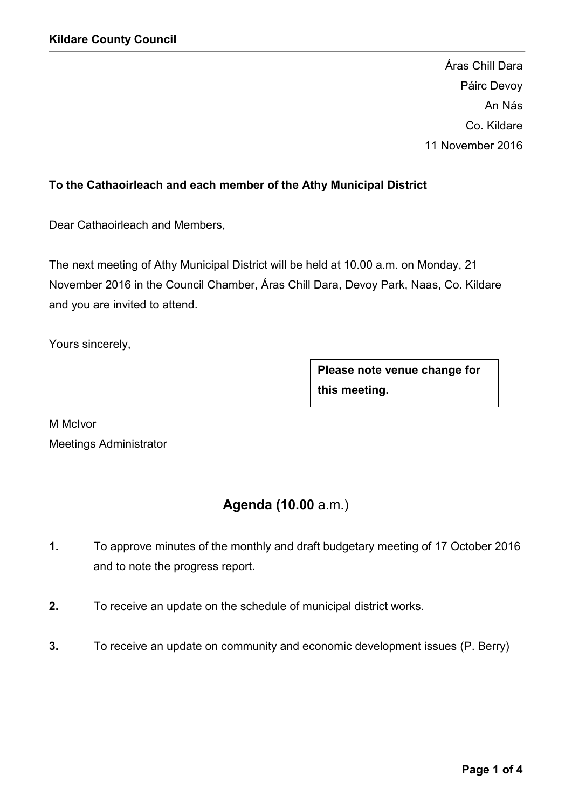Áras Chill Dara Páirc Devoy An Nás Co. Kildare 11 November 2016

## To the Cathaoirleach and each member of the Athy Municipal District

Dear Cathaoirleach and Members,

The next meeting of Athy Municipal District will be held at 10.00 a.m. on Monday, 21 November 2016 in the Council Chamber, Áras Chill Dara, Devoy Park, Naas, Co. Kildare and you are invited to attend.

Yours sincerely,

Please note venue change for this meeting.

M McIvor Meetings Administrator

# Agenda (10.00 a.m.)

- 1. To approve minutes of the monthly and draft budgetary meeting of 17 October 2016 and to note the progress report.
- 2. To receive an update on the schedule of municipal district works.
- 3. To receive an update on community and economic development issues (P. Berry)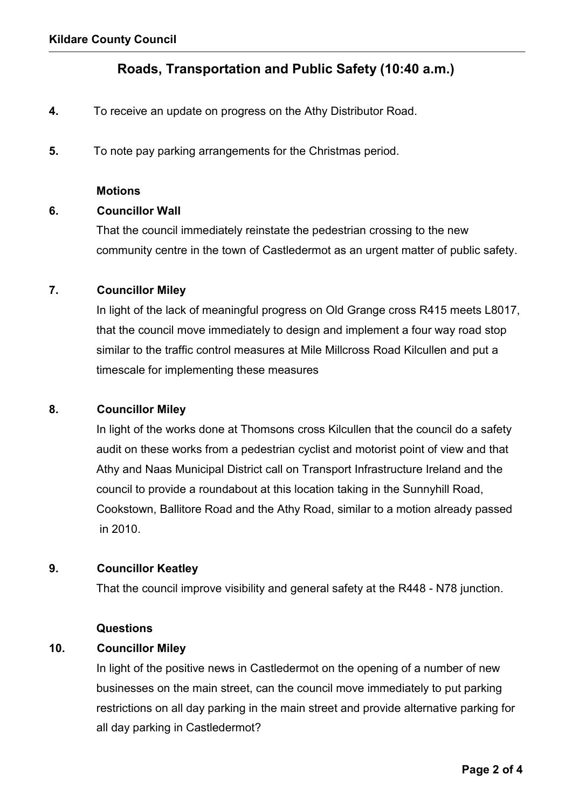## Roads, Transportation and Public Safety (10:40 a.m.)

- 4. To receive an update on progress on the Athy Distributor Road.
- 5. To note pay parking arrangements for the Christmas period.

#### **Motions**

#### 6. Councillor Wall

 That the council immediately reinstate the pedestrian crossing to the new community centre in the town of Castledermot as an urgent matter of public safety.

## 7. Councillor Miley

 In light of the lack of meaningful progress on Old Grange cross R415 meets L8017, that the council move immediately to design and implement a four way road stop similar to the traffic control measures at Mile Millcross Road Kilcullen and put a timescale for implementing these measures

#### 8. Councillor Miley

 In light of the works done at Thomsons cross Kilcullen that the council do a safety audit on these works from a pedestrian cyclist and motorist point of view and that Athy and Naas Municipal District call on Transport Infrastructure Ireland and the council to provide a roundabout at this location taking in the Sunnyhill Road, Cookstown, Ballitore Road and the Athy Road, similar to a motion already passed in 2010.

#### 9. Councillor Keatley

That the council improve visibility and general safety at the R448 - N78 junction.

#### **Questions**

#### 10. Councillor Miley

 In light of the positive news in Castledermot on the opening of a number of new businesses on the main street, can the council move immediately to put parking restrictions on all day parking in the main street and provide alternative parking for all day parking in Castledermot?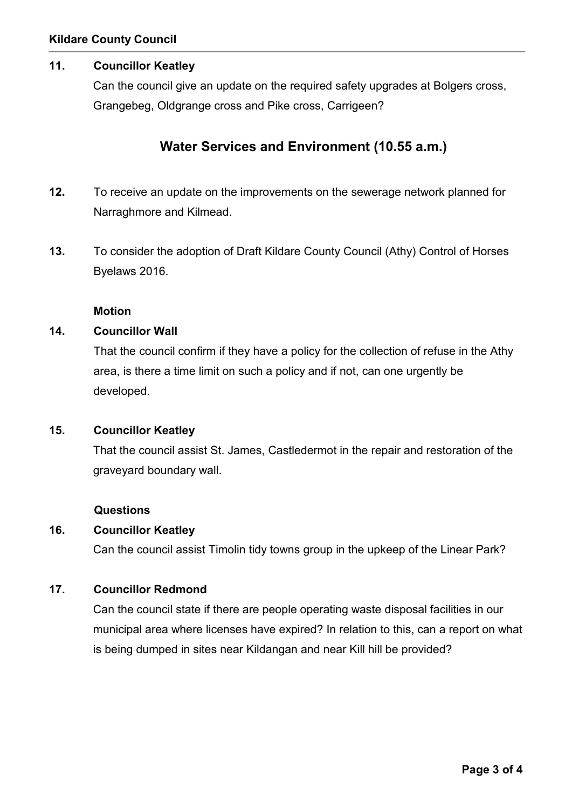## 11. Councillor Keatley

 Can the council give an update on the required safety upgrades at Bolgers cross, Grangebeg, Oldgrange cross and Pike cross, Carrigeen?

## Water Services and Environment (10.55 a.m.)

- 12. To receive an update on the improvements on the sewerage network planned for Narraghmore and Kilmead.
- 13. To consider the adoption of Draft Kildare County Council (Athy) Control of Horses Byelaws 2016.

#### Motion

#### 14. Councillor Wall

That the council confirm if they have a policy for the collection of refuse in the Athy area, is there a time limit on such a policy and if not, can one urgently be developed.

#### 15. Councillor Keatley

 That the council assist St. James, Castledermot in the repair and restoration of the graveyard boundary wall.

#### Questions

#### 16. Councillor Keatley

Can the council assist Timolin tidy towns group in the upkeep of the Linear Park?

## 17. Councillor Redmond

 Can the council state if there are people operating waste disposal facilities in our municipal area where licenses have expired? In relation to this, can a report on what is being dumped in sites near Kildangan and near Kill hill be provided?